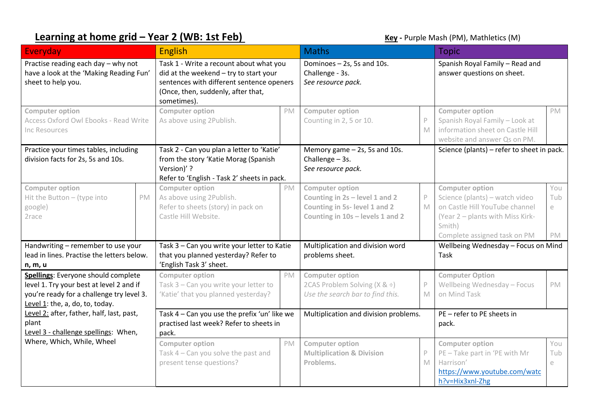## **Learning at home grid – Year 2 (WB: 1st Feb) Example 2018 Key** - Purple Mash (PM), Mathletics (M)

| Everyday                                                                                                                                                           |    | <b>English</b>                                                                                                                                                                      |    | <b>Maths</b>                                                                                                                  |                             | <b>Topic</b>                                                                                                                                                             |                         |
|--------------------------------------------------------------------------------------------------------------------------------------------------------------------|----|-------------------------------------------------------------------------------------------------------------------------------------------------------------------------------------|----|-------------------------------------------------------------------------------------------------------------------------------|-----------------------------|--------------------------------------------------------------------------------------------------------------------------------------------------------------------------|-------------------------|
| Practise reading each day - why not<br>have a look at the 'Making Reading Fun'<br>sheet to help you.                                                               |    | Task 1 - Write a recount about what you<br>did at the weekend - try to start your<br>sentences with different sentence openers<br>(Once, then, suddenly, after that,<br>sometimes). |    | Dominoes - 2s, 5s and 10s.<br>Challenge - 3s.<br>See resource pack.                                                           |                             | Spanish Royal Family - Read and<br>answer questions on sheet.                                                                                                            |                         |
| <b>Computer option</b><br>Access Oxford Owl Ebooks - Read Write<br>Inc Resources                                                                                   |    | <b>Computer option</b><br>As above using 2Publish.                                                                                                                                  | PM | <b>Computer option</b><br>Counting in 2, 5 or 10.                                                                             | $\mathsf{P}$<br>M           | Computer option<br>Spanish Royal Family - Look at<br>information sheet on Castle Hill<br>website and answer Qs on PM.                                                    | PM                      |
| Practice your times tables, including<br>division facts for 2s, 5s and 10s.                                                                                        |    | Task 2 - Can you plan a letter to 'Katie'<br>from the story 'Katie Morag (Spanish<br>Version)' ?<br>Refer to 'English - Task 2' sheets in pack.                                     |    | Memory game - 2s, 5s and 10s.<br>Challenge - 3s.<br>See resource pack.                                                        |                             | Science (plants) – refer to sheet in pack.                                                                                                                               |                         |
| <b>Computer option</b><br>Hit the Button $-$ (type into<br>google)<br>2race                                                                                        | PM | <b>Computer option</b><br>As above using 2Publish.<br>Refer to sheets (story) in pack on<br>Castle Hill Website.                                                                    | PM | <b>Computer option</b><br>Counting in 2s - level 1 and 2<br>Counting in 5s- level 1 and 2<br>Counting in 10s - levels 1 and 2 | $\mathsf{P}$<br>$\mathbb N$ | <b>Computer option</b><br>Science (plants) - watch video<br>on Castle Hill YouTube channel<br>(Year 2 - plants with Miss Kirk-<br>Smith)<br>Complete assigned task on PM | You<br>Tub<br>e<br>PM.  |
| Handwriting - remember to use your<br>lead in lines. Practise the letters below.<br>n, m, u                                                                        |    | Task 3 - Can you write your letter to Katie<br>that you planned yesterday? Refer to<br>'English Task 3' sheet.                                                                      |    | Multiplication and division word<br>problems sheet.                                                                           |                             | Wellbeing Wednesday - Focus on Mind<br>Task                                                                                                                              |                         |
| Spellings: Everyone should complete<br>level 1. Try your best at level 2 and if<br>you're ready for a challenge try level 3.<br>Level $1$ : the, a, do, to, today. |    | <b>Computer option</b><br>Task 3 - Can you write your letter to<br>'Katie' that you planned yesterday?                                                                              | PM | <b>Computer option</b><br>2CAS Problem Solving $(X < \frac{1}{X})$<br>Use the search bar to find this.                        | $\mathsf{P}% _{T}$<br>M     | <b>Computer Option</b><br>Wellbeing Wednesday - Focus<br>on Mind Task                                                                                                    | PM                      |
| Level 2: after, father, half, last, past,<br>plant<br>Level 3 - challenge spellings: When,                                                                         |    | Task 4 - Can you use the prefix 'un' like we<br>practised last week? Refer to sheets in<br>pack.                                                                                    |    | Multiplication and division problems.                                                                                         |                             | PE - refer to PE sheets in<br>pack.                                                                                                                                      |                         |
| Where, Which, While, Wheel                                                                                                                                         |    | <b>Computer option</b><br>Task 4 - Can you solve the past and<br>present tense questions?                                                                                           | PM | <b>Computer option</b><br><b>Multiplication &amp; Division</b><br>Problems.                                                   | $\mathsf{P}$<br>M           | Computer option<br>PE-Take part in 'PE with Mr<br>Harrison'<br>https://www.youtube.com/watc<br>h?v=Hix3xnl-Zhg                                                           | You<br>Tub<br>$\ominus$ |